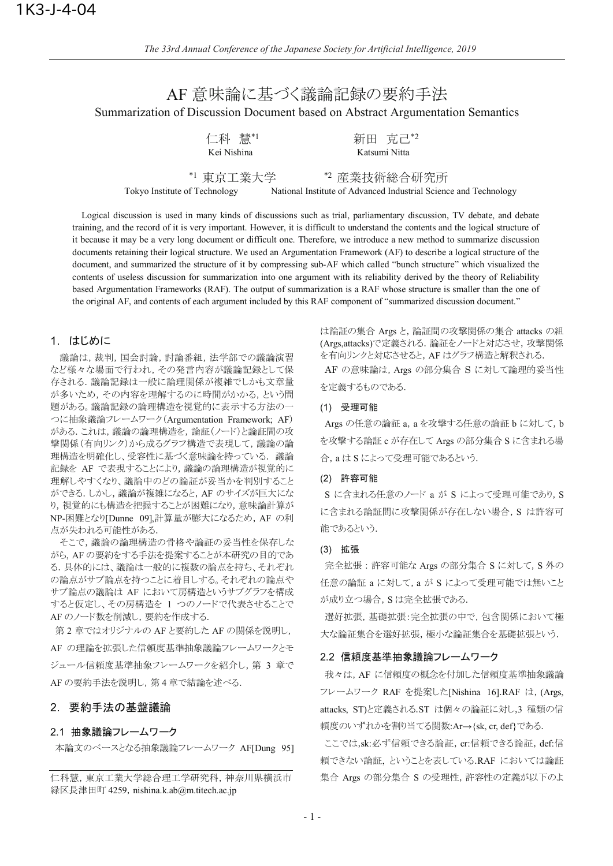# AF 意味論に基づく議論記録の要約手法 Summarization of Discussion Document based on Abstract Argumentation Semantics

| 仁科          | 慧*1 |  |
|-------------|-----|--|
| Kei Nishina |     |  |

新田 克己\*2 Katsumi Nitta

\*1 東京工業大学

\*2 産業技術総合研究所

Tokyo Institute of Technology National Institute of Advanced Industrial Science and Technology

Logical discussion is used in many kinds of discussions such as trial, parliamentary discussion, TV debate, and debate training, and the record of it is very important. However, it is difficult to understand the contents and the logical structure of it because it may be a very long document or difficult one. Therefore, we introduce a new method to summarize discussion documents retaining their logical structure. We used an Argumentation Framework (AF) to describe a logical structure of the document, and summarized the structure of it by compressing sub-AF which called "bunch structure" which visualized the contents of useless discussion for summarization into one argument with its reliability derived by the theory of Reliability based Argumentation Frameworks (RAF). The output of summarization is a RAF whose structure is smaller than the one of the original AF, and contents of each argument included by this RAF component of "summarized discussion document."

# 1. はじめに

議論は, 裁判, 国会討論, 討論番組, 法学部での議論演習 など様々な場面で行われ、その発言内容が議論記録として保 存される. 議論記録は一般に論理関係が複雑でしかも文章量 が多いため、その内容を理解するのに時間がかかる、という問 題がある。議論記録の論理構造を視覚的に表示する方法の一 つに抽象議論フレームワーク(Argumentation Framework; AF) がある. これは, 議論の論理構造を, 論証(ノード)と論証間の攻 撃関係(有向リンク)から成るグラフ構造で表現して、議論の論 理構造を明確化し、受容性に基づく意味論を持っている。議論 記録を AF で表現することにより,議論の論理構造が視覚的に 理解しやすくなり、議論中のどの論証が妥当かを判別すること ができる. しかし、議論が複雑になると, AF のサイズが巨大にな り、視覚的にも構造を把握することが困難になり、意味論計算が NP-困難となり[Dunne 09],計算量が膨大になるため, AF の利 点が失われる可能性がある.

そこで,議論の論理構造の骨格や論証の妥当性を保存しな がら、AF の要約をする手法を提案することが本研究の目的であ る. 具体的には、議論は一般的に複数の論点を持ち、それぞれ の論点がサブ論点を持つことに着目しする。それぞれの論点や サブ論点の議論は AF において房構造というサブグラフを構成 すると仮定し、その房構造を 1 つのノードで代表させることで AF のノード数を削減し, 要約を作成する.

第2章ではオリジナルの AF と要約した AF の関係を説明し, AF の理論を拡張した信頼度基準抽象議論フレームワークとモ ジュール信頼度基準抽象フレームワークを紹介し、第3章で AF の要約手法を説明し, 第4章で結論を述べる.

## 2. 要約手法の基盤議論

#### 2.1 抽象議論フレームワーク

本論文のベースとなる抽象議論フレームワーク AF[Dung 95]

仁科慧, 東京工業大学総合理工学研究科, 神奈川県横浜市 緑区長津田町 4259, nishina.k.ab@m.titech.ac.jp

は論証の集合 Args と,論証間の攻撃関係の集合 attacks の組 (Args,attacks)で定義される. 論証をノードと対応させ、攻撃関係 を有向リンクと対応させると、AF はグラフ構造と解釈される.

AF の意味論は、Args の部分集合 S に対して論理的妥当性 を定義するものである.

#### (1) 受理可能

Args の任意の論証 a, a を攻撃する任意の論証 b に対して, b を攻撃する論証 c が存在して Args の部分集合 S に含まれる場 合, a は S によって受理可能であるという.

## (2) 許容可能

S に含まれる任意のノード a が S によって受理可能であり, S に含まれる論証間に攻撃関係が存在しない場合, S は許容可 能であるという.

## (3) 拡張

完全拡張:許容可能な Args の部分集合 S に対して, S 外の 任意の論証 a に対して, a が S によって受理可能では無いこと が成り立つ場合, S は完全拡張である.

選好拡張,基礎拡張:完全拡張の中で、包含関係において極 大な論証集合を選好拡張,極小な論証集合を基礎拡張という.

## 2.2 信頼度基準抽象議論フレームワーク

我々は、AF に信頼度の概念を付加した信頼度基準抽象議論 フレームワーク RAF を提案した[Nishina 16].RAF は, (Args, attacks, ST)と定義される.ST は個々の論証に対し,3 種類の信 頼度のいずれかを割り当てる関数:Ar→{sk, cr, def}である.

ここでは,sk:必ず信頼できる論証, cr:信頼できる論証, def:信 頼できない論証. ということを表している.RAF においては論証 集合 Args の部分集合 S の受理性, 許容性の定義が以下のよ